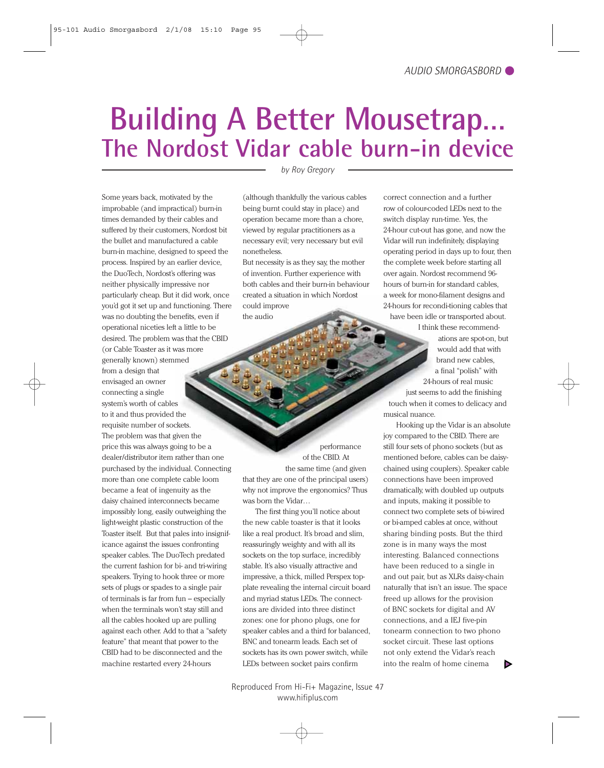## **Building A Better Mousetrap… The Nordost Vidar cable burn-in device**

Some years back, motivated by the improbable (and impractical) burn-in times demanded by their cables and suffered by their customers, Nordost bit the bullet and manufactured a cable burn-in machine, designed to speed the process. Inspired by an earlier device, the DuoTech, Nordost's offering was neither physically impressive nor particularly cheap. But it did work, once you'd got it set up and functioning. There was no doubting the benefits, even if operational niceties left a little to be desired. The problem was that the CBID (or Cable Toaster as it was more generally known) stemmed from a design that envisaged an owner connecting a single system's worth of cables to it and thus provided the requisite number of sockets. The problem was that given the price this was always going to be a dealer/distributor item rather than one purchased by the individual. Connecting more than one complete cable loom became a feat of ingenuity as the daisy chained interconnects became impossibly long, easily outweighing the light-weight plastic construction of the Toaster itself. But that pales into insignificance against the issues confronting speaker cables. The DuoTech predated the current fashion for bi- and tri-wiring speakers. Trying to hook three or more sets of plugs or spades to a single pair

of terminals is far from fun – especially when the terminals won't stay still and all the cables hooked up are pulling against each other. Add to that a "safety feature" that meant that power to the CBID had to be disconnected and the machine restarted every 24-hours

*by Roy Gregory*

(although thankfully the various cables being burnt could stay in place) and operation became more than a chore, viewed by regular practitioners as a necessary evil; very necessary but evil nonetheless.

But necessity is as they say, the mother of invention. Further experience with both cables and their burn-in behaviour created a situation in which Nordost could improve the audio

performance of the CBID. At the same time (and given that they are one of the principal users) why not improve the ergonomics? Thus was born the Vidar…

The first thing you'll notice about the new cable toaster is that it looks like a real product. It's broad and slim, reassuringly weighty and with all its sockets on the top surface, incredibly stable. It's also visually attractive and impressive, a thick, milled Perspex topplate revealing the internal circuit board and myriad status LEDs. The connections are divided into three distinct zones: one for phono plugs, one for speaker cables and a third for balanced, BNC and tonearm leads. Each set of sockets has its own power switch, while LEDs between socket pairs confirm

correct connection and a further row of colour-coded LEDs next to the switch display run-time. Yes, the 24-hour cut-out has gone, and now the Vidar will run indefinitely, displaying operating period in days up to four, then the complete week before starting all over again. Nordost recommend 96 hours of burn-in for standard cables, a week for mono-filament designs and 24-hours for recondi-tioning cables that have been idle or transported about.

I think these recommendations are spot-on, but would add that with brand new cables, a final "polish" with 24-hours of real music

just seems to add the finishing touch when it comes to delicacy and musical nuance.

Hooking up the Vidar is an absolute joy compared to the CBID. There are still four sets of phono sockets (but as mentioned before, cables can be daisychained using couplers). Speaker cable connections have been improved dramatically, with doubled up outputs and inputs, making it possible to connect two complete sets of bi-wired or bi-amped cables at once, without sharing binding posts. But the third zone is in many ways the most interesting. Balanced connections have been reduced to a single in and out pair, but as XLRs daisy-chain naturally that isn't an issue. The space freed up allows for the provision of BNC sockets for digital and AV connections, and a IEJ five-pin tonearm connection to two phono socket circuit. These last options not only extend the Vidar's reach into the realm of home cinema Þ